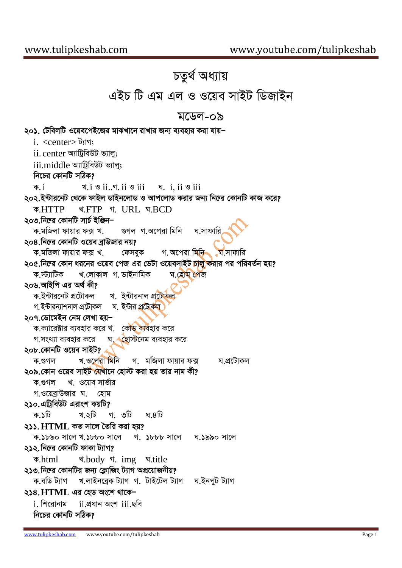## *চতুৰ্থ অধ্যায়* এইচ টি এম এল ও ওয়েব সাইট ডিজাইন মডেল-০৯ ২০১. টেবিলটি ওয়েবপেইজের মাঝখানে রাখার জন্য ব্যবহার করা যায়− i. <center> ট্যাগ: ii. center আট্ৰিবিউট ভ্যাল; iii.middle আটিবিউট ভ্যাল: *নিচের কোনটি সঠিক? K.* i *L.*i *I* ii*..M.* ii *I* iii *N.* i, ii *I* iii *202.B›Uvi‡bU †\_‡K dvBj WvBb‡jvW I Avc‡jvW Kivi Rb¨ wb‡æi †KvbwU KvR K‡i? K.*HTTP *L.*FTP *M.* URL *N.*BCD ২০৩.নিল্রে কোনটি সার্চ ইঞ্জিন− *ক*্মজিলা ফায়ার ফক্স খ. গুগল গ.অপেরা মিনি ঘ.সাফার্ **২০৪.**নিল্রে কোনটি ওয়েব ব্রাউজার নয়? *ক*্মজিলা ফায়ার ফক্স খ. গ. অপেরা মিনি ঘ.সাফারি *২০৫.* নিল্রে কোন ধরনের ওয়েব পেজ এর ডেটা ওয়েবসাইট <mark>চালু ক</mark>রার পর পরিবর্তন হয়? *ক.স্ট্যা*টিক খ.লোকাল গ. ডাইনামিক ঘ.হোম পেজ ২০৬.আইপি এর অর্থ কী? *ক.ইন্টারনেট প্রটোকল* খ. ইন্টারনাল প্র<mark>টোকল</mark> *প*্টকীরন্যাশনাল প্রটোকল ঘ**় ইন্টার প্রটোকল** *207.†Wv‡gBb †bg †jLv nqÑ ক*.ক্যারেক্টার ব্যবহার করে খ. কৌড ব্যবহার করে *প*.সংখ্যা ব্যবহার করে ঘ. ≺হোস্টনেম ব্যবহার করে ২০৮.কোনটি ওয়েব সাইট? *ক*.গুগল খ.ওপেরা মিনি গ. মজিলা ফায়ার ফক্স ঘ.প্রটোকল *২০৯.কোন ও*য়েব সাইট যেখানে হোস্ট করা হয় তার নাম কী? *ক.*গুগল খ. ওয়েব সার্ভার *প.ও*য়েব্রাউজার ঘ. হোম ২১০. এট্রিবিউট এরাংশ কয়টি<u>?</u> *K.1wU L.2wU M. 3wU N.4wU 211.***HTML** *KZ mv‡j ˆZwi Kiv nq? K.1890 mv‡j L.1880 mv‡j M. 1888 mv‡j N.1990 mv‡j ২১২.* নিহের কোনটি ফাকা ট্যাগ? *K.*html *L.*body *M.* img *N.*title *২১৩.* নিহের কোনটির জন্য ক্লোজিং ট্যাগ অপ্রয়োজনীয়? *K.ewW U¨vM L.jvBb‡eªK U¨vM M. UvB‡Uj U¨vM N.BbcyU U¨vM*  $228.$  HTML এর হেড অংশে থাকেi. *wk‡ivbvg* ii.*cÖavb Ask* iii.*Qwe নিচের কোনটি সঠিক*?